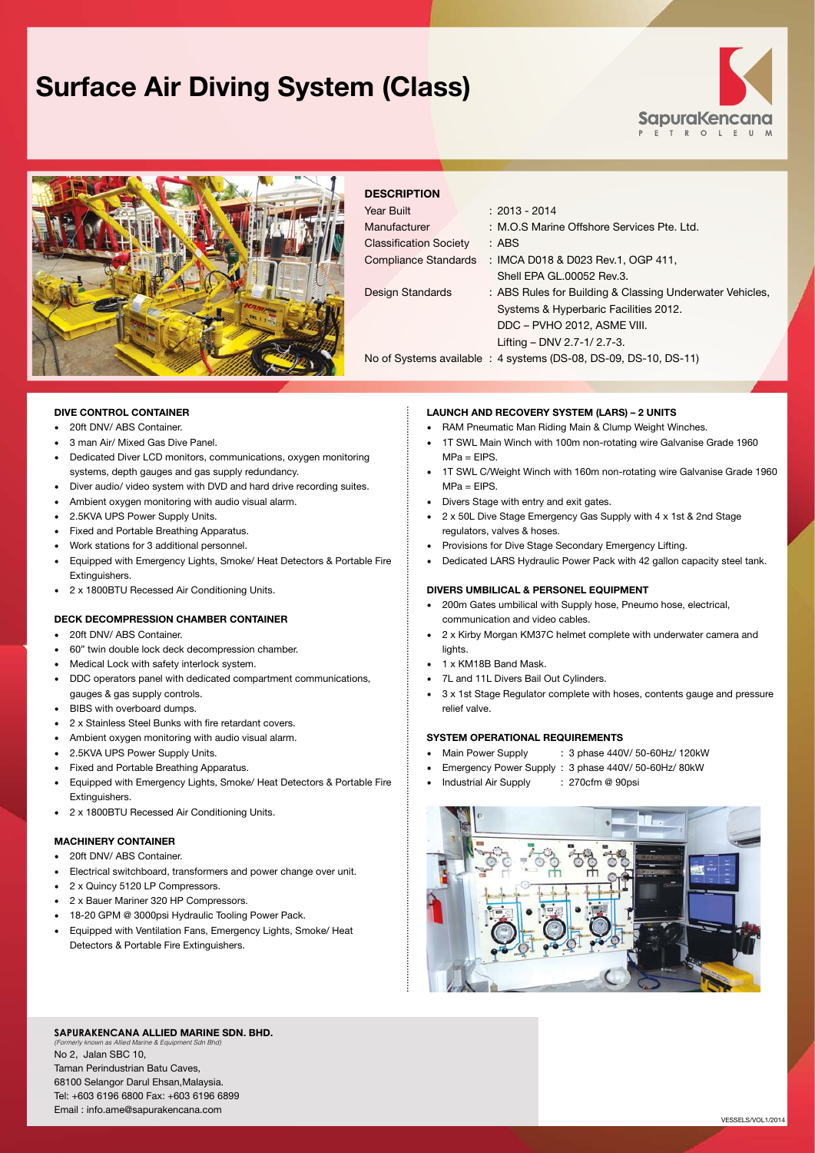## **Surface Air Diving System (Class)**





### **DESCRIPTION**

| Year Built                    | $: 2013 - 2014$                                                  |
|-------------------------------|------------------------------------------------------------------|
| Manufacturer                  | : M.O.S Marine Offshore Services Pte. Ltd.                       |
| <b>Classification Society</b> | : ABS                                                            |
| Compliance Standards          | : IMCA D018 & D023 Rev.1, OGP 411,                               |
|                               | Shell EPA GL.00052 Rev.3.                                        |
| Design Standards              | : ABS Rules for Building & Classing Underwater Vehicles,         |
|                               | Systems & Hyperbaric Facilities 2012.                            |
|                               | DDC - PVHO 2012, ASME VIII.                                      |
|                               | Lifting - DNV 2.7-1/ 2.7-3.                                      |
|                               | No of Systems available : 4 systems (DS-08, DS-09, DS-10, DS-11) |
|                               |                                                                  |

#### **DIVE CONTROL CONTAINER**

- • 20ft DNV/ ABS Container.
- • 3 man Air/ Mixed Gas Dive Panel.
- • Dedicated Diver LCD monitors, communications, oxygen monitoring systems, depth gauges and gas supply redundancy.
- • Diver audio/ video system with DVD and hard drive recording suites.
- • Ambient oxygen monitoring with audio visual alarm.
- 2.5KVA UPS Power Supply Units.
- • Fixed and Portable Breathing Apparatus.
- Work stations for 3 additional personnel.
- Equipped with Emergency Lights, Smoke/ Heat Detectors & Portable Fire Extinguishers.
- • 2 x 1800BTU Recessed Air Conditioning Units.

#### **DECK DECOMPRESSION CHAMBER CONTAINER**

- • 20ft DNV/ ABS Container.
- 60" twin double lock deck decompression chamber.
- • Medical Lock with safety interlock system.
- • DDC operators panel with dedicated compartment communications, gauges & gas supply controls.
- BIBS with overboard dumps.
- • 2 x Stainless Steel Bunks with fire retardant covers.
- • Ambient oxygen monitoring with audio visual alarm.
- 2.5KVA UPS Power Supply Units.
- **Fixed and Portable Breathing Apparatus.**
- Equipped with Emergency Lights, Smoke/ Heat Detectors & Portable Fire Extinguishers.
- • 2 x 1800BTU Recessed Air Conditioning Units.

#### **MACHINERY CONTAINER**

- 20ft DNV/ ABS Container.
- • Electrical switchboard, transformers and power change over unit.
- 2 x Quincy 5120 LP Compressors.
- • 2 x Bauer Mariner 320 HP Compressors.
- 18-20 GPM @ 3000psi Hydraulic Tooling Power Pack.
- Equipped with Ventilation Fans, Emergency Lights, Smoke/ Heat Detectors & Portable Fire Extinguishers.

#### **LAUNCH AND RECOVERY SYSTEM (LARS) – 2 UNITS**

- RAM Pneumatic Man Riding Main & Clump Weight Winches.
- 1T SWL Main Winch with 100m non-rotating wire Galvanise Grade 1960  $MPa = EIPS$ .
- 1T SWL C/Weight Winch with 160m non-rotating wire Galvanise Grade 1960  $MPa = FIPS$
- • Divers Stage with entry and exit gates.
- • 2 x 50L Dive Stage Emergency Gas Supply with 4 x 1st & 2nd Stage regulators, valves & hoses.
- Provisions for Dive Stage Secondary Emergency Lifting.
- Dedicated LARS Hydraulic Power Pack with 42 gallon capacity steel tank.

#### **DIVERS UMBILICAL & PERSONEL EQUIPMENT**

- • 200m Gates umbilical with Supply hose, Pneumo hose, electrical, communication and video cables.
- • 2 x Kirby Morgan KM37C helmet complete with underwater camera and lights
- • 1 x KM18B Band Mask.
- • 7L and 11L Divers Bail Out Cylinders.
- • 3 x 1st Stage Regulator complete with hoses, contents gauge and pressure relief valve.

#### **SYSTEM OPERATIONAL REQUIREMENTS**

- Main Power Supply : 3 phase 440V/ 50-60Hz/ 120kW
- Emergency Power Supply : 3 phase 440V/ 50-60Hz/ 80kW
- Industrial Air Supply : 270cfm @ 90psi



#### **SapuraKencana Allied Marine Sdn. Bhd.** *(Formerly known as Allied Marine & Equipment Sdn Bhd)*

No 2, Jalan SBC 10, Taman Perindustrian Batu Caves, 68100 Selangor Darul Ehsan,Malaysia. Tel: +603 6196 6800 Fax: +603 6196 6899 Email : info.ame@sapurakencana.com